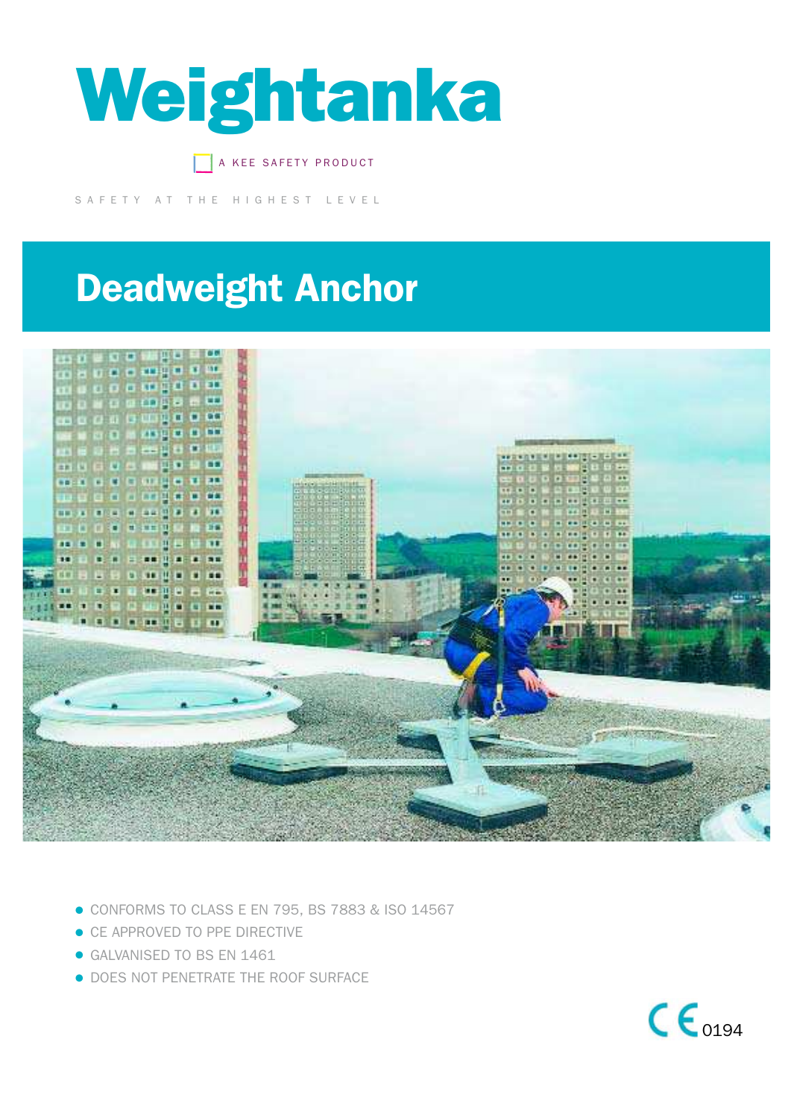

A KEE SAFETY PRODUCT

SAFETY AT THE HIGHEST LEVEL

## Deadweight Anchor



- CONFORMS TO CLASS E EN 795, BS 7883 & ISO 14567
- CE APPROVED TO PPE DIRECTIVE
- **GALVANISED TO BS EN 1461**
- **DOES NOT PENETRATE THE ROOF SURFACE**